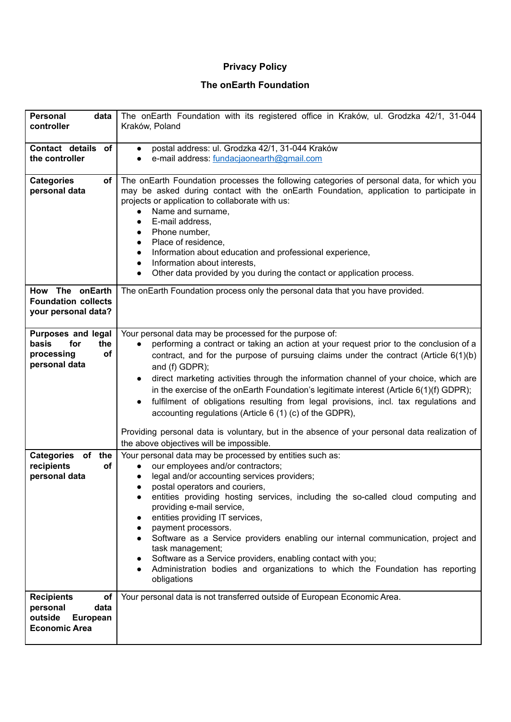## **Privacy Policy**

## **The onEarth Foundation**

| <b>Personal</b><br>data<br>controller                                                             | The onEarth Foundation with its registered office in Kraków, ul. Grodzka 42/1, 31-044<br>Kraków, Poland                                                                                                                                                                                                                                                                                                                                                                                                                                                                                                                                                                                                                                                                                    |
|---------------------------------------------------------------------------------------------------|--------------------------------------------------------------------------------------------------------------------------------------------------------------------------------------------------------------------------------------------------------------------------------------------------------------------------------------------------------------------------------------------------------------------------------------------------------------------------------------------------------------------------------------------------------------------------------------------------------------------------------------------------------------------------------------------------------------------------------------------------------------------------------------------|
| <b>Contact details</b><br>of<br>the controller                                                    | postal address: ul. Grodzka 42/1, 31-044 Kraków<br>$\bullet$<br>e-mail address: fundaciaonearth@gmail.com                                                                                                                                                                                                                                                                                                                                                                                                                                                                                                                                                                                                                                                                                  |
| <b>Categories</b><br>of<br>personal data                                                          | The onEarth Foundation processes the following categories of personal data, for which you<br>may be asked during contact with the onEarth Foundation, application to participate in<br>projects or application to collaborate with us:<br>Name and surname,<br>$\bullet$<br>E-mail address,<br>$\bullet$<br>Phone number,<br>$\bullet$<br>Place of residence,<br>Information about education and professional experience,<br>Information about interests,<br>$\bullet$<br>Other data provided by you during the contact or application process.                                                                                                                                                                                                                                            |
| The onEarth<br><b>How</b><br><b>Foundation collects</b><br>your personal data?                    | The onEarth Foundation process only the personal data that you have provided.                                                                                                                                                                                                                                                                                                                                                                                                                                                                                                                                                                                                                                                                                                              |
| <b>Purposes and legal</b><br>basis<br>the<br>for<br>of<br>processing<br>personal data             | Your personal data may be processed for the purpose of:<br>performing a contract or taking an action at your request prior to the conclusion of a<br>$\bullet$<br>contract, and for the purpose of pursuing claims under the contract (Article $6(1)(b)$<br>and (f) GDPR);<br>direct marketing activities through the information channel of your choice, which are<br>$\bullet$<br>in the exercise of the onEarth Foundation's legitimate interest (Article $6(1)(f)$ GDPR);<br>fulfilment of obligations resulting from legal provisions, incl. tax regulations and<br>$\bullet$<br>accounting regulations (Article 6 (1) (c) of the GDPR),<br>Providing personal data is voluntary, but in the absence of your personal data realization of<br>the above objectives will be impossible. |
| Categories of the<br>recipients<br>of<br>personal data                                            | Your personal data may be processed by entities such as:<br>our employees and/or contractors;<br>$\bullet$<br>legal and/or accounting services providers;<br>postal operators and couriers,<br>entities providing hosting services, including the so-called cloud computing and<br>providing e-mail service,<br>entities providing IT services,<br>payment processors.<br>Software as a Service providers enabling our internal communication, project and<br>task management;<br>Software as a Service providers, enabling contact with you;<br>Administration bodies and organizations to which the Foundation has reporting<br>obligations                                                                                                                                              |
| <b>Recipients</b><br>οf<br>personal<br>data<br>outside<br><b>European</b><br><b>Economic Area</b> | Your personal data is not transferred outside of European Economic Area.                                                                                                                                                                                                                                                                                                                                                                                                                                                                                                                                                                                                                                                                                                                   |